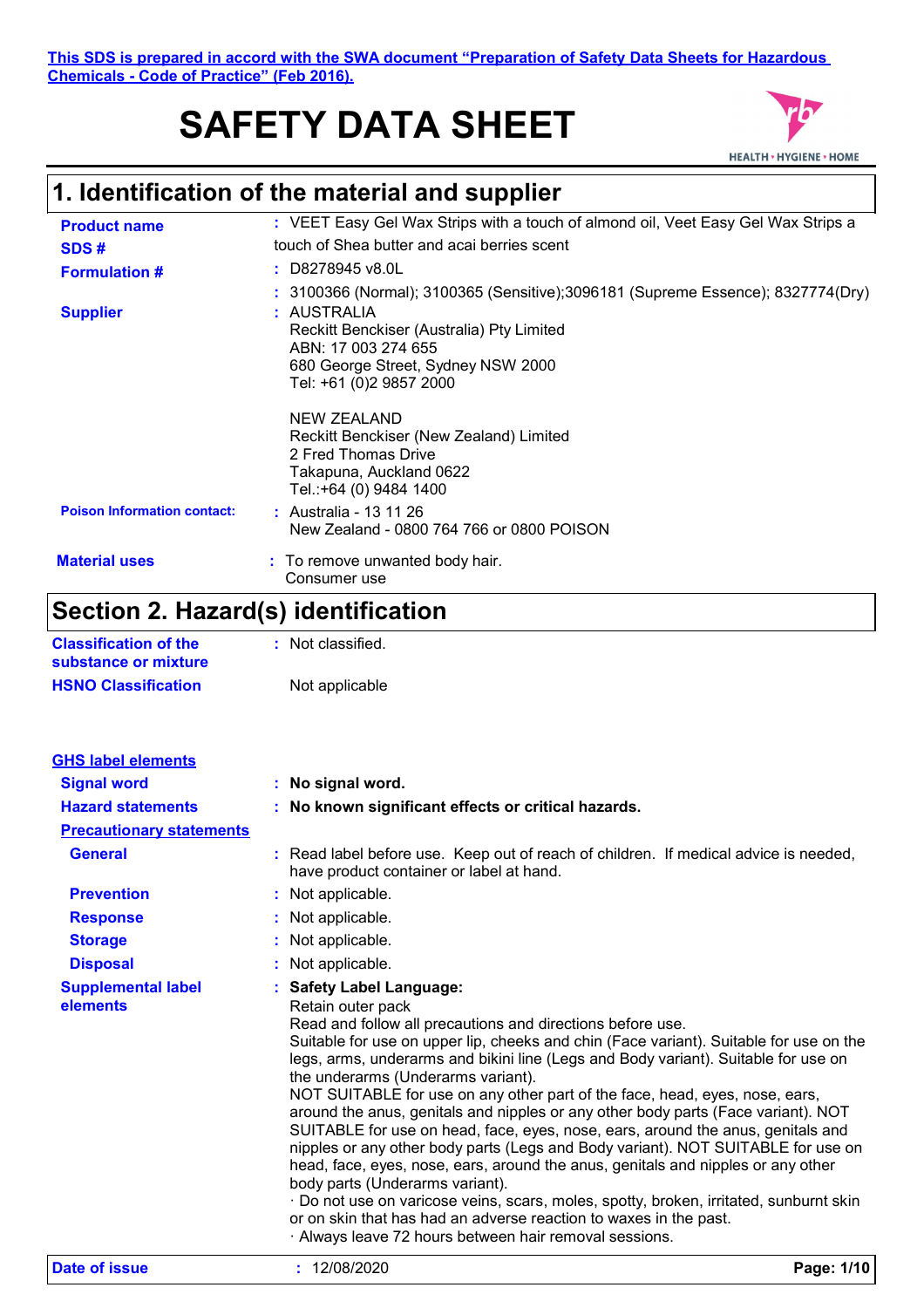**This SDS is prepared in accord with the SWA document "Preparation of Safety Data Sheets for Hazardous Chemicals - Code of Practice" (Feb 2016).**

# **SAFETY DATA SHEET**



## **1. Identification of the material and supplier**

| <b>Product name</b>                | : VEET Easy Gel Wax Strips with a touch of almond oil, Veet Easy Gel Wax Strips a                                                                |  |  |
|------------------------------------|--------------------------------------------------------------------------------------------------------------------------------------------------|--|--|
| SDS#                               | touch of Shea butter and acai berries scent                                                                                                      |  |  |
| <b>Formulation #</b>               | : D8278945 v8.0L                                                                                                                                 |  |  |
|                                    | : 3100366 (Normal); 3100365 (Sensitive);3096181 (Supreme Essence); 8327774(Dry)                                                                  |  |  |
| <b>Supplier</b>                    | : AUSTRALIA<br>Reckitt Benckiser (Australia) Pty Limited<br>ABN: 17 003 274 655<br>680 George Street, Sydney NSW 2000<br>Tel: +61 (0)2 9857 2000 |  |  |
|                                    | NEW ZEALAND<br>Reckitt Benckiser (New Zealand) Limited<br>2 Fred Thomas Drive<br>Takapuna, Auckland 0622<br>Tel.:+64 (0) 9484 1400               |  |  |
| <b>Poison Information contact:</b> | : Australia - 13 11 26<br>New Zealand - 0800 764 766 or 0800 POISON                                                                              |  |  |
| <b>Material uses</b>               | : To remove unwanted body hair.<br>Consumer use                                                                                                  |  |  |

## **Section 2. Hazard(s) identification**

| <b>Classification of the</b> | : Not classified. |
|------------------------------|-------------------|
| substance or mixture         |                   |
| <b>HSNO Classification</b>   | Not applicable    |

| <b>GHS label elements</b>             |  |                                                                                                                                                                                                                                                                                                                                                                                                                                                                                                                                                                                                                                                                                                                                                                                                                                                                                                                                                                                                                              |            |
|---------------------------------------|--|------------------------------------------------------------------------------------------------------------------------------------------------------------------------------------------------------------------------------------------------------------------------------------------------------------------------------------------------------------------------------------------------------------------------------------------------------------------------------------------------------------------------------------------------------------------------------------------------------------------------------------------------------------------------------------------------------------------------------------------------------------------------------------------------------------------------------------------------------------------------------------------------------------------------------------------------------------------------------------------------------------------------------|------------|
| <b>Signal word</b>                    |  | : No signal word.                                                                                                                                                                                                                                                                                                                                                                                                                                                                                                                                                                                                                                                                                                                                                                                                                                                                                                                                                                                                            |            |
| <b>Hazard statements</b>              |  | : No known significant effects or critical hazards.                                                                                                                                                                                                                                                                                                                                                                                                                                                                                                                                                                                                                                                                                                                                                                                                                                                                                                                                                                          |            |
| <b>Precautionary statements</b>       |  |                                                                                                                                                                                                                                                                                                                                                                                                                                                                                                                                                                                                                                                                                                                                                                                                                                                                                                                                                                                                                              |            |
| <b>General</b>                        |  | : Read label before use. Keep out of reach of children. If medical advice is needed,<br>have product container or label at hand.                                                                                                                                                                                                                                                                                                                                                                                                                                                                                                                                                                                                                                                                                                                                                                                                                                                                                             |            |
| <b>Prevention</b>                     |  | : Not applicable.                                                                                                                                                                                                                                                                                                                                                                                                                                                                                                                                                                                                                                                                                                                                                                                                                                                                                                                                                                                                            |            |
| <b>Response</b>                       |  | : Not applicable.                                                                                                                                                                                                                                                                                                                                                                                                                                                                                                                                                                                                                                                                                                                                                                                                                                                                                                                                                                                                            |            |
| <b>Storage</b>                        |  | : Not applicable.                                                                                                                                                                                                                                                                                                                                                                                                                                                                                                                                                                                                                                                                                                                                                                                                                                                                                                                                                                                                            |            |
| <b>Disposal</b>                       |  | : Not applicable.                                                                                                                                                                                                                                                                                                                                                                                                                                                                                                                                                                                                                                                                                                                                                                                                                                                                                                                                                                                                            |            |
| <b>Supplemental label</b><br>elements |  | : Safety Label Language:<br>Retain outer pack<br>Read and follow all precautions and directions before use.<br>Suitable for use on upper lip, cheeks and chin (Face variant). Suitable for use on the<br>legs, arms, underarms and bikini line (Legs and Body variant). Suitable for use on<br>the underarms (Underarms variant).<br>NOT SUITABLE for use on any other part of the face, head, eyes, nose, ears,<br>around the anus, genitals and nipples or any other body parts (Face variant). NOT<br>SUITABLE for use on head, face, eyes, nose, ears, around the anus, genitals and<br>nipples or any other body parts (Legs and Body variant). NOT SUITABLE for use on<br>head, face, eyes, nose, ears, around the anus, genitals and nipples or any other<br>body parts (Underarms variant).<br>· Do not use on varicose veins, scars, moles, spotty, broken, irritated, sunburnt skin<br>or on skin that has had an adverse reaction to waxes in the past.<br>· Always leave 72 hours between hair removal sessions. |            |
| Date of issue                         |  | : 12/08/2020                                                                                                                                                                                                                                                                                                                                                                                                                                                                                                                                                                                                                                                                                                                                                                                                                                                                                                                                                                                                                 | Page: 1/10 |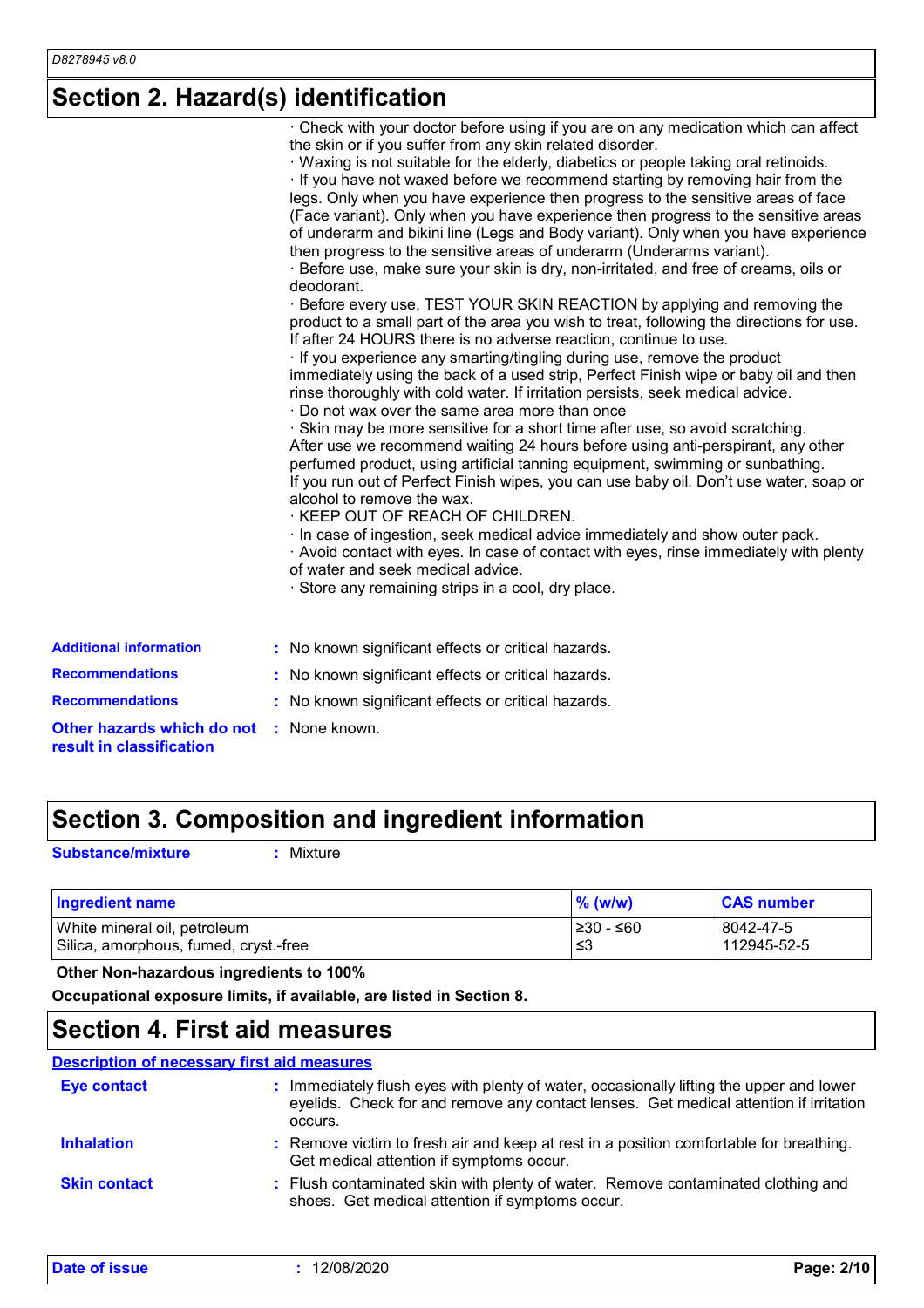## **Section 2. Hazard(s) identification**

|                                                        | . Check with your doctor before using if you are on any medication which can affect<br>the skin or if you suffer from any skin related disorder.<br>Waxing is not suitable for the elderly, diabetics or people taking oral retinoids.<br>If you have not waxed before we recommend starting by removing hair from the<br>legs. Only when you have experience then progress to the sensitive areas of face<br>(Face variant). Only when you have experience then progress to the sensitive areas<br>of underarm and bikini line (Legs and Body variant). Only when you have experience<br>then progress to the sensitive areas of underarm (Underarms variant).<br>Before use, make sure your skin is dry, non-irritated, and free of creams, oils or<br>deodorant.<br>· Before every use, TEST YOUR SKIN REACTION by applying and removing the<br>product to a small part of the area you wish to treat, following the directions for use.<br>If after 24 HOURS there is no adverse reaction, continue to use.<br>If you experience any smarting/tingling during use, remove the product<br>immediately using the back of a used strip, Perfect Finish wipe or baby oil and then<br>rinse thoroughly with cold water. If irritation persists, seek medical advice.<br>Do not wax over the same area more than once<br>· Skin may be more sensitive for a short time after use, so avoid scratching.<br>After use we recommend waiting 24 hours before using anti-perspirant, any other<br>perfumed product, using artificial tanning equipment, swimming or sunbathing.<br>If you run out of Perfect Finish wipes, you can use baby oil. Don't use water, soap or<br>alcohol to remove the wax.<br>· KEEP OUT OF REACH OF CHILDREN.<br>· In case of ingestion, seek medical advice immediately and show outer pack.<br>· Avoid contact with eyes. In case of contact with eyes, rinse immediately with plenty<br>of water and seek medical advice.<br>· Store any remaining strips in a cool, dry place. |
|--------------------------------------------------------|-----------------------------------------------------------------------------------------------------------------------------------------------------------------------------------------------------------------------------------------------------------------------------------------------------------------------------------------------------------------------------------------------------------------------------------------------------------------------------------------------------------------------------------------------------------------------------------------------------------------------------------------------------------------------------------------------------------------------------------------------------------------------------------------------------------------------------------------------------------------------------------------------------------------------------------------------------------------------------------------------------------------------------------------------------------------------------------------------------------------------------------------------------------------------------------------------------------------------------------------------------------------------------------------------------------------------------------------------------------------------------------------------------------------------------------------------------------------------------------------------------------------------------------------------------------------------------------------------------------------------------------------------------------------------------------------------------------------------------------------------------------------------------------------------------------------------------------------------------------------------------------------------------------------------------------------------------------------------------------------------------------|
| <b>Additional information</b>                          | : No known significant effects or critical hazards.                                                                                                                                                                                                                                                                                                                                                                                                                                                                                                                                                                                                                                                                                                                                                                                                                                                                                                                                                                                                                                                                                                                                                                                                                                                                                                                                                                                                                                                                                                                                                                                                                                                                                                                                                                                                                                                                                                                                                       |
| <b>Recommendations</b>                                 | : No known significant effects or critical hazards.                                                                                                                                                                                                                                                                                                                                                                                                                                                                                                                                                                                                                                                                                                                                                                                                                                                                                                                                                                                                                                                                                                                                                                                                                                                                                                                                                                                                                                                                                                                                                                                                                                                                                                                                                                                                                                                                                                                                                       |
| <b>Recommendations</b>                                 | : No known significant effects or critical hazards.                                                                                                                                                                                                                                                                                                                                                                                                                                                                                                                                                                                                                                                                                                                                                                                                                                                                                                                                                                                                                                                                                                                                                                                                                                                                                                                                                                                                                                                                                                                                                                                                                                                                                                                                                                                                                                                                                                                                                       |
| Other hazards which do not<br>result in classification | : None known.                                                                                                                                                                                                                                                                                                                                                                                                                                                                                                                                                                                                                                                                                                                                                                                                                                                                                                                                                                                                                                                                                                                                                                                                                                                                                                                                                                                                                                                                                                                                                                                                                                                                                                                                                                                                                                                                                                                                                                                             |

## **Section 3. Composition and ingredient information**

**Substance/mixture :**

: Mixture

| <b>Ingredient name</b>                | $\%$ (w/w) | <b>CAS number</b> |
|---------------------------------------|------------|-------------------|
| White mineral oil, petroleum          | 1≥30 - ≤60 | 8042-47-5         |
| Silica, amorphous, fumed, cryst.-free | ו≥ ≥       | 112945-52-5       |

 **Other Non-hazardous ingredients to 100%**

**Occupational exposure limits, if available, are listed in Section 8.**

### **Section 4. First aid measures**

#### **Description of necessary first aid measures**

| <b>Eye contact</b>  | Immediately flush eyes with plenty of water, occasionally lifting the upper and lower<br>eyelids. Check for and remove any contact lenses. Get medical attention if irritation<br>occurs. |
|---------------------|-------------------------------------------------------------------------------------------------------------------------------------------------------------------------------------------|
| <b>Inhalation</b>   | : Remove victim to fresh air and keep at rest in a position comfortable for breathing.<br>Get medical attention if symptoms occur.                                                        |
| <b>Skin contact</b> | : Flush contaminated skin with plenty of water. Remove contaminated clothing and<br>shoes. Get medical attention if symptoms occur.                                                       |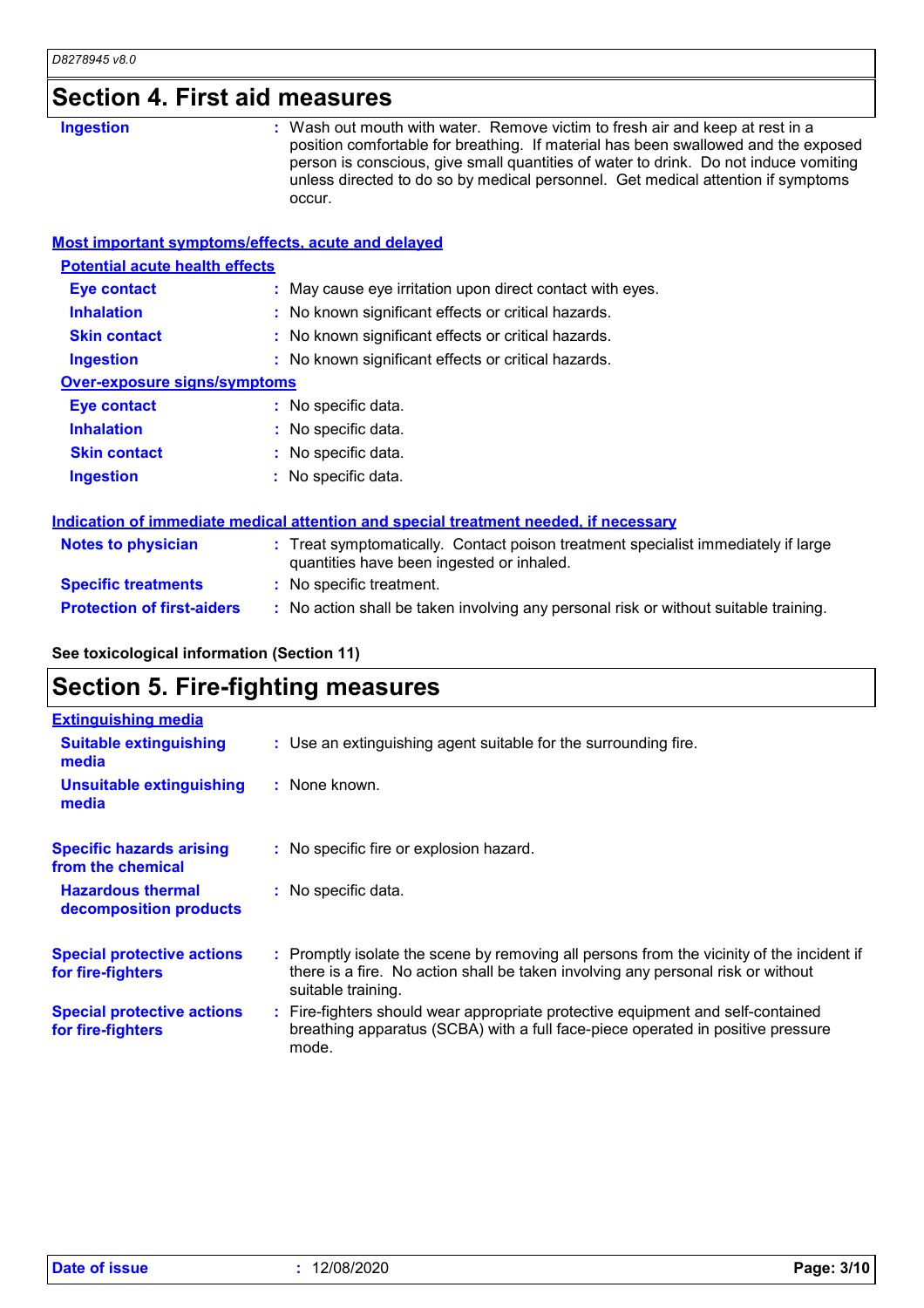| D8278945 v8.0                                      |                                                                                                                                                                                                                                                                                                                                                           |
|----------------------------------------------------|-----------------------------------------------------------------------------------------------------------------------------------------------------------------------------------------------------------------------------------------------------------------------------------------------------------------------------------------------------------|
| <b>Section 4. First aid measures</b>               |                                                                                                                                                                                                                                                                                                                                                           |
| <b>Ingestion</b>                                   | : Wash out mouth with water. Remove victim to fresh air and keep at rest in a<br>position comfortable for breathing. If material has been swallowed and the exposed<br>person is conscious, give small quantities of water to drink. Do not induce vomiting<br>unless directed to do so by medical personnel. Get medical attention if symptoms<br>occur. |
| Most important symptoms/effects, acute and delayed |                                                                                                                                                                                                                                                                                                                                                           |
| <b>Potential acute health effects</b>              |                                                                                                                                                                                                                                                                                                                                                           |
| <b>Eye contact</b>                                 | : May cause eye irritation upon direct contact with eyes.                                                                                                                                                                                                                                                                                                 |
| <b>Inhalation</b>                                  | : No known significant effects or critical hazards.                                                                                                                                                                                                                                                                                                       |
| <b>Skin contact</b>                                | : No known significant effects or critical hazards.                                                                                                                                                                                                                                                                                                       |
| <b>Ingestion</b>                                   | : No known significant effects or critical hazards.                                                                                                                                                                                                                                                                                                       |
| <b>Over-exposure signs/symptoms</b>                |                                                                                                                                                                                                                                                                                                                                                           |
| <b>Eye contact</b>                                 | : No specific data.                                                                                                                                                                                                                                                                                                                                       |
| <b>Inhalation</b>                                  | No specific data.                                                                                                                                                                                                                                                                                                                                         |
| <b>Skin contact</b>                                | : No specific data.                                                                                                                                                                                                                                                                                                                                       |
| <b>Ingestion</b>                                   | : No specific data.                                                                                                                                                                                                                                                                                                                                       |
|                                                    | Indication of immediate medical attention and special treatment needed, if necessary                                                                                                                                                                                                                                                                      |
| <b>Notes to physician</b>                          | : Treat symptomatically. Contact poison treatment specialist immediately if large<br>quantities have been ingested or inhaled.                                                                                                                                                                                                                            |
| <b>Specific treatments</b>                         | : No specific treatment.                                                                                                                                                                                                                                                                                                                                  |
| <b>Protection of first-aiders</b>                  | : No action shall be taken involving any personal risk or without suitable training.                                                                                                                                                                                                                                                                      |
| See toxicological information (Section 11)         |                                                                                                                                                                                                                                                                                                                                                           |
| <b>Section 5. Fire-fighting measures</b>           |                                                                                                                                                                                                                                                                                                                                                           |

| <b>Extinguishing media</b>                             |                                                                                                                                                                                                     |
|--------------------------------------------------------|-----------------------------------------------------------------------------------------------------------------------------------------------------------------------------------------------------|
| <b>Suitable extinguishing</b><br>media                 | : Use an extinguishing agent suitable for the surrounding fire.                                                                                                                                     |
| Unsuitable extinguishing<br>media                      | : None known.                                                                                                                                                                                       |
| <b>Specific hazards arising</b><br>from the chemical   | : No specific fire or explosion hazard.                                                                                                                                                             |
| <b>Hazardous thermal</b><br>decomposition products     | : No specific data.                                                                                                                                                                                 |
| <b>Special protective actions</b><br>for fire-fighters | : Promptly isolate the scene by removing all persons from the vicinity of the incident if<br>there is a fire. No action shall be taken involving any personal risk or without<br>suitable training. |
| <b>Special protective actions</b><br>for fire-fighters | : Fire-fighters should wear appropriate protective equipment and self-contained<br>breathing apparatus (SCBA) with a full face-piece operated in positive pressure<br>mode.                         |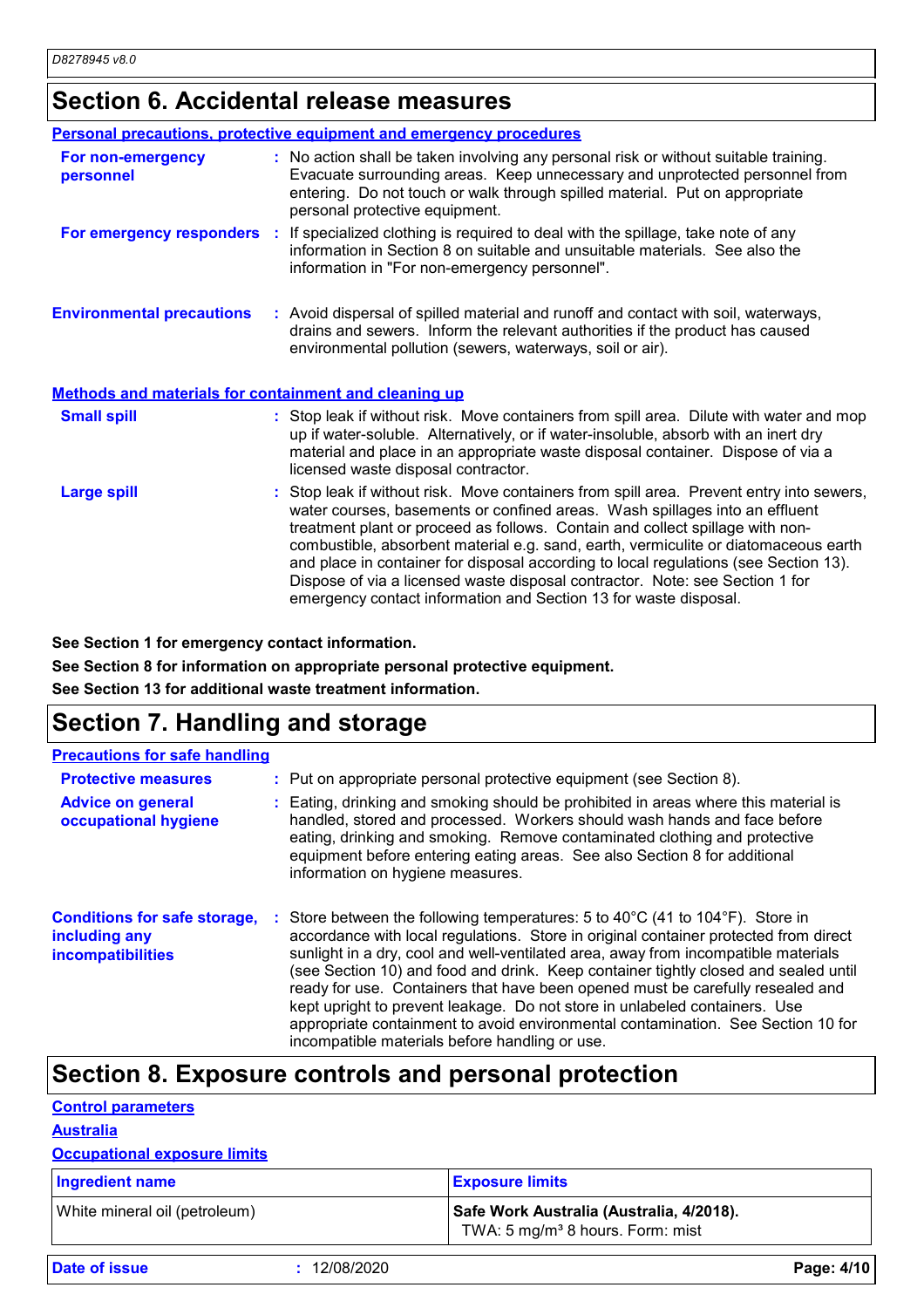## **Section 6. Accidental release measures**

|                                                              | Personal precautions, protective equipment and emergency procedures                                                                                                                                                                                                                                                                                                                                                                                                                                                                                                                         |
|--------------------------------------------------------------|---------------------------------------------------------------------------------------------------------------------------------------------------------------------------------------------------------------------------------------------------------------------------------------------------------------------------------------------------------------------------------------------------------------------------------------------------------------------------------------------------------------------------------------------------------------------------------------------|
| For non-emergency<br>personnel                               | : No action shall be taken involving any personal risk or without suitable training.<br>Evacuate surrounding areas. Keep unnecessary and unprotected personnel from<br>entering. Do not touch or walk through spilled material. Put on appropriate<br>personal protective equipment.                                                                                                                                                                                                                                                                                                        |
|                                                              | <b>For emergency responders</b> : If specialized clothing is required to deal with the spillage, take note of any<br>information in Section 8 on suitable and unsuitable materials. See also the<br>information in "For non-emergency personnel".                                                                                                                                                                                                                                                                                                                                           |
| <b>Environmental precautions</b>                             | : Avoid dispersal of spilled material and runoff and contact with soil, waterways,<br>drains and sewers. Inform the relevant authorities if the product has caused<br>environmental pollution (sewers, waterways, soil or air).                                                                                                                                                                                                                                                                                                                                                             |
| <b>Methods and materials for containment and cleaning up</b> |                                                                                                                                                                                                                                                                                                                                                                                                                                                                                                                                                                                             |
| <b>Small spill</b>                                           | : Stop leak if without risk. Move containers from spill area. Dilute with water and mop<br>up if water-soluble. Alternatively, or if water-insoluble, absorb with an inert dry<br>material and place in an appropriate waste disposal container. Dispose of via a<br>licensed waste disposal contractor.                                                                                                                                                                                                                                                                                    |
| <b>Large spill</b>                                           | : Stop leak if without risk. Move containers from spill area. Prevent entry into sewers,<br>water courses, basements or confined areas. Wash spillages into an effluent<br>treatment plant or proceed as follows. Contain and collect spillage with non-<br>combustible, absorbent material e.g. sand, earth, vermiculite or diatomaceous earth<br>and place in container for disposal according to local regulations (see Section 13).<br>Dispose of via a licensed waste disposal contractor. Note: see Section 1 for<br>emergency contact information and Section 13 for waste disposal. |

**See Section 1 for emergency contact information.**

**See Section 8 for information on appropriate personal protective equipment. See Section 13 for additional waste treatment information.**

## **Section 7. Handling and storage**

| <b>Precautions for safe handling</b>                                             |                                                                                                                                                                                                                                                                                                                                                                                                                                                                                                                                                                                                                                                          |
|----------------------------------------------------------------------------------|----------------------------------------------------------------------------------------------------------------------------------------------------------------------------------------------------------------------------------------------------------------------------------------------------------------------------------------------------------------------------------------------------------------------------------------------------------------------------------------------------------------------------------------------------------------------------------------------------------------------------------------------------------|
| <b>Protective measures</b>                                                       | : Put on appropriate personal protective equipment (see Section 8).                                                                                                                                                                                                                                                                                                                                                                                                                                                                                                                                                                                      |
| <b>Advice on general</b><br>occupational hygiene                                 | : Eating, drinking and smoking should be prohibited in areas where this material is<br>handled, stored and processed. Workers should wash hands and face before<br>eating, drinking and smoking. Remove contaminated clothing and protective<br>equipment before entering eating areas. See also Section 8 for additional<br>information on hygiene measures.                                                                                                                                                                                                                                                                                            |
| <b>Conditions for safe storage,</b><br>including any<br><b>incompatibilities</b> | : Store between the following temperatures: 5 to 40°C (41 to 104°F). Store in<br>accordance with local regulations. Store in original container protected from direct<br>sunlight in a dry, cool and well-ventilated area, away from incompatible materials<br>(see Section 10) and food and drink. Keep container tightly closed and sealed until<br>ready for use. Containers that have been opened must be carefully resealed and<br>kept upright to prevent leakage. Do not store in unlabeled containers. Use<br>appropriate containment to avoid environmental contamination. See Section 10 for<br>incompatible materials before handling or use. |

## **Section 8. Exposure controls and personal protection**

| <b>Control parameters</b>           |            |                                                                                          |            |
|-------------------------------------|------------|------------------------------------------------------------------------------------------|------------|
| <b>Australia</b>                    |            |                                                                                          |            |
| <b>Occupational exposure limits</b> |            |                                                                                          |            |
| <b>Ingredient name</b>              |            | <b>Exposure limits</b>                                                                   |            |
| White mineral oil (petroleum)       |            | Safe Work Australia (Australia, 4/2018).<br>TWA: 5 mg/m <sup>3</sup> 8 hours. Form: mist |            |
| <b>Date of issue</b>                | 12/08/2020 |                                                                                          | Page: 4/10 |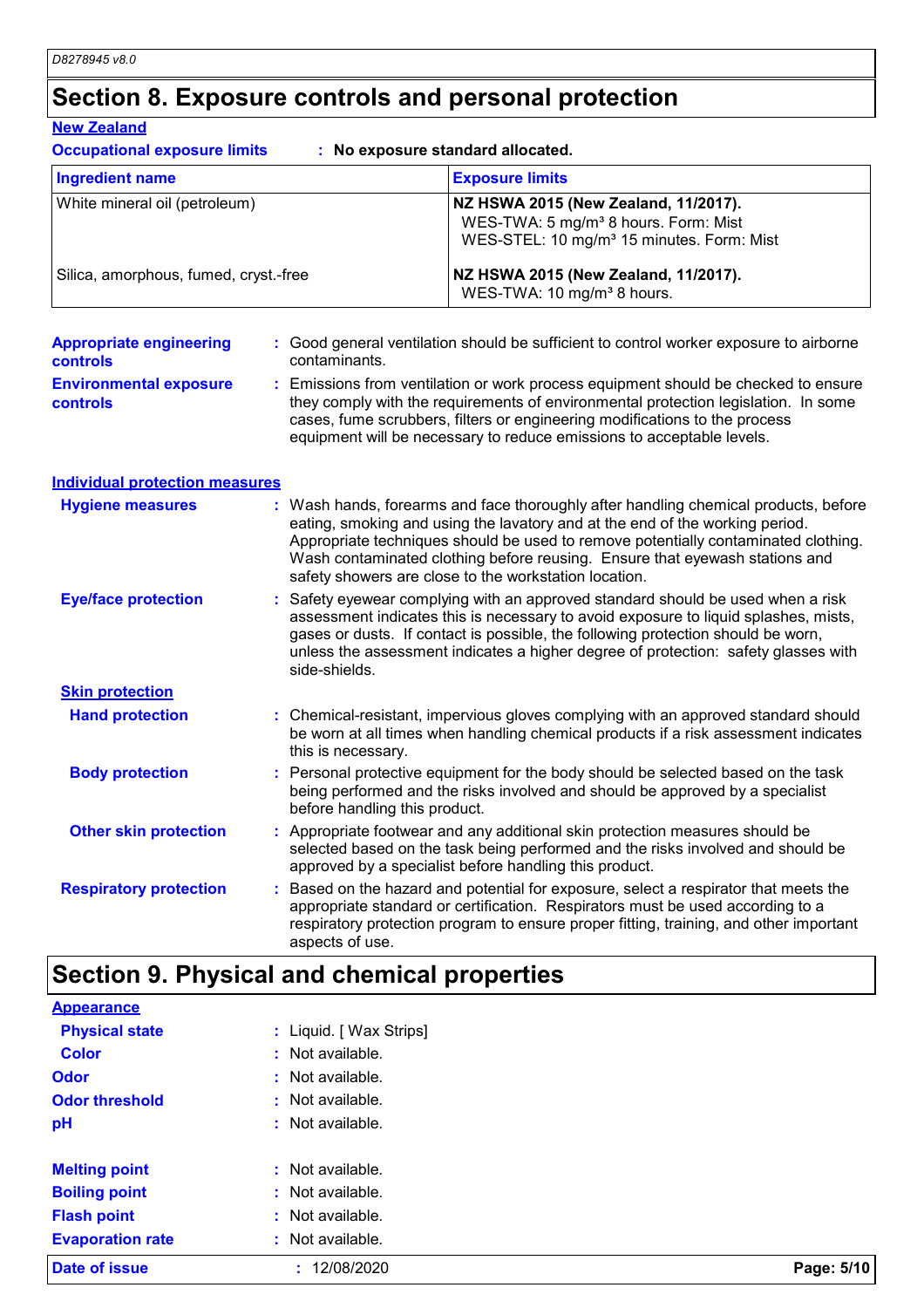## **Section 8. Exposure controls and personal protection New Zealand**

| <b>Occupational exposure limits</b>                                                              |                    | : No exposure standard allocated.                                                                                                                                                                                                                                                                                                                                                                 |  |
|--------------------------------------------------------------------------------------------------|--------------------|---------------------------------------------------------------------------------------------------------------------------------------------------------------------------------------------------------------------------------------------------------------------------------------------------------------------------------------------------------------------------------------------------|--|
| <b>Ingredient name</b><br>White mineral oil (petroleum)<br>Silica, amorphous, fumed, cryst.-free |                    | <b>Exposure limits</b>                                                                                                                                                                                                                                                                                                                                                                            |  |
|                                                                                                  |                    | NZ HSWA 2015 (New Zealand, 11/2017).<br>WES-TWA: 5 mg/m <sup>3</sup> 8 hours. Form: Mist<br>WES-STEL: 10 mg/m <sup>3</sup> 15 minutes. Form: Mist                                                                                                                                                                                                                                                 |  |
|                                                                                                  |                    | NZ HSWA 2015 (New Zealand, 11/2017).<br>WES-TWA: 10 mg/m <sup>3</sup> 8 hours.                                                                                                                                                                                                                                                                                                                    |  |
| <b>Appropriate engineering</b><br>controls                                                       | contaminants.      | : Good general ventilation should be sufficient to control worker exposure to airborne                                                                                                                                                                                                                                                                                                            |  |
| <b>Environmental exposure</b><br>controls                                                        |                    | : Emissions from ventilation or work process equipment should be checked to ensure<br>they comply with the requirements of environmental protection legislation. In some<br>cases, fume scrubbers, filters or engineering modifications to the process<br>equipment will be necessary to reduce emissions to acceptable levels.                                                                   |  |
| <b>Individual protection measures</b>                                                            |                    |                                                                                                                                                                                                                                                                                                                                                                                                   |  |
| <b>Hygiene measures</b>                                                                          |                    | : Wash hands, forearms and face thoroughly after handling chemical products, before<br>eating, smoking and using the lavatory and at the end of the working period.<br>Appropriate techniques should be used to remove potentially contaminated clothing.<br>Wash contaminated clothing before reusing. Ensure that eyewash stations and<br>safety showers are close to the workstation location. |  |
| <b>Eye/face protection</b>                                                                       |                    | : Safety eyewear complying with an approved standard should be used when a risk<br>assessment indicates this is necessary to avoid exposure to liquid splashes, mists,<br>gases or dusts. If contact is possible, the following protection should be worn,<br>unless the assessment indicates a higher degree of protection: safety glasses with<br>side-shields.                                 |  |
| <b>Skin protection</b>                                                                           |                    |                                                                                                                                                                                                                                                                                                                                                                                                   |  |
| <b>Hand protection</b>                                                                           | this is necessary. | : Chemical-resistant, impervious gloves complying with an approved standard should<br>be worn at all times when handling chemical products if a risk assessment indicates                                                                                                                                                                                                                         |  |
| <b>Body protection</b>                                                                           |                    | : Personal protective equipment for the body should be selected based on the task<br>being performed and the risks involved and should be approved by a specialist<br>before handling this product.                                                                                                                                                                                               |  |
| <b>Other skin protection</b>                                                                     |                    | : Appropriate footwear and any additional skin protection measures should be<br>selected based on the task being performed and the risks involved and should be<br>approved by a specialist before handling this product.                                                                                                                                                                         |  |
| <b>Respiratory protection</b>                                                                    | aspects of use.    | : Based on the hazard and potential for exposure, select a respirator that meets the<br>appropriate standard or certification. Respirators must be used according to a<br>respiratory protection program to ensure proper fitting, training, and other important                                                                                                                                  |  |

## **Section 9. Physical and chemical properties**

| <b>Date of issue</b>    | 12/08/2020              | Page: 5/10 |
|-------------------------|-------------------------|------------|
| <b>Evaporation rate</b> | : Not available.        |            |
| <b>Flash point</b>      | : Not available.        |            |
| <b>Boiling point</b>    | : Not available.        |            |
| <b>Melting point</b>    | : Not available.        |            |
| pH                      | : Not available.        |            |
| <b>Odor threshold</b>   | : Not available.        |            |
| <b>Odor</b>             | : Not available.        |            |
| <b>Color</b>            | : Not available.        |            |
| <b>Physical state</b>   | : Liquid. [ Wax Strips] |            |
| <b>Appearance</b>       |                         |            |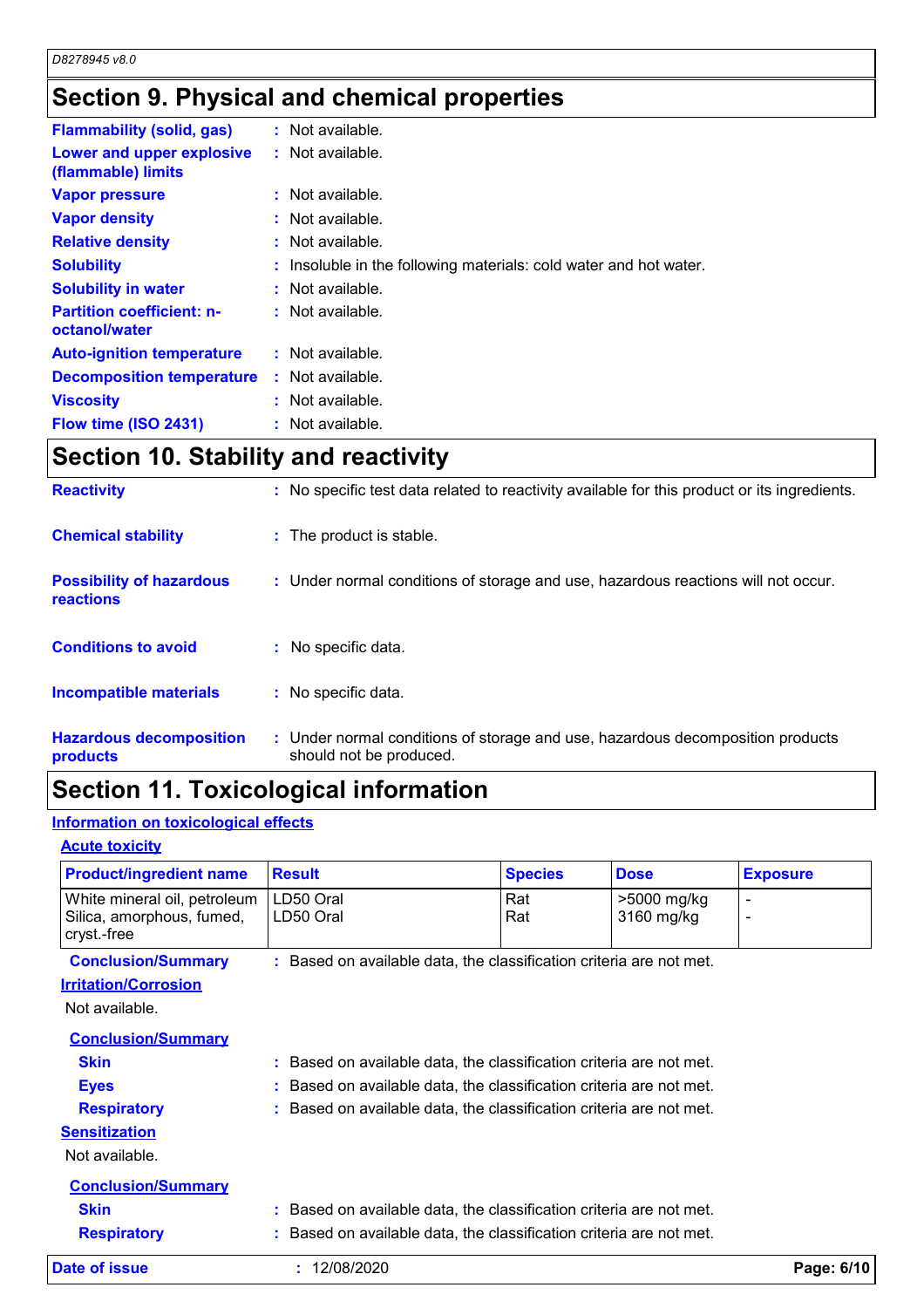## **Section 9. Physical and chemical properties**

| <b>Flammability (solid, gas)</b>                  | : Not available.                                                  |
|---------------------------------------------------|-------------------------------------------------------------------|
| Lower and upper explosive<br>(flammable) limits   | $:$ Not available.                                                |
| <b>Vapor pressure</b>                             | $:$ Not available.                                                |
| <b>Vapor density</b>                              | $\therefore$ Not available.                                       |
| <b>Relative density</b>                           | $:$ Not available.                                                |
| <b>Solubility</b>                                 | : Insoluble in the following materials: cold water and hot water. |
| <b>Solubility in water</b>                        | $:$ Not available.                                                |
| <b>Partition coefficient: n-</b><br>octanol/water | : Not available.                                                  |
| <b>Auto-ignition temperature</b>                  | $:$ Not available.                                                |
| <b>Decomposition temperature</b>                  | $:$ Not available.                                                |
| <b>Viscosity</b>                                  | : Not available.                                                  |
| Flow time (ISO 2431)                              | : Not available.                                                  |

## **Section 10. Stability and reactivity**

| <b>Reactivity</b>                            | : No specific test data related to reactivity available for this product or its ingredients.              |
|----------------------------------------------|-----------------------------------------------------------------------------------------------------------|
| <b>Chemical stability</b>                    | : The product is stable.                                                                                  |
| <b>Possibility of hazardous</b><br>reactions | : Under normal conditions of storage and use, hazardous reactions will not occur.                         |
| <b>Conditions to avoid</b>                   | : No specific data.                                                                                       |
| <b>Incompatible materials</b>                | : No specific data.                                                                                       |
| <b>Hazardous decomposition</b><br>products   | : Under normal conditions of storage and use, hazardous decomposition products<br>should not be produced. |

## **Section 11. Toxicological information**

#### **Information on toxicological effects**

#### **Acute toxicity**

| <b>Product/ingredient name</b>                                                                                          | <b>Result</b>                                                                                                                                                                                                         | <b>Species</b> | <b>Dose</b>               | <b>Exposure</b> |
|-------------------------------------------------------------------------------------------------------------------------|-----------------------------------------------------------------------------------------------------------------------------------------------------------------------------------------------------------------------|----------------|---------------------------|-----------------|
| White mineral oil, petroleum<br>Silica, amorphous, fumed,<br>cryst.-free                                                | LD50 Oral<br>LD50 Oral                                                                                                                                                                                                | Rat<br>Rat     | >5000 mg/kg<br>3160 mg/kg | $\blacksquare$  |
| <b>Conclusion/Summary</b><br><b>Irritation/Corrosion</b><br>Not available.                                              | : Based on available data, the classification criteria are not met.                                                                                                                                                   |                |                           |                 |
| <b>Conclusion/Summary</b><br><b>Skin</b><br><b>Eyes</b><br><b>Respiratory</b><br><b>Sensitization</b><br>Not available. | : Based on available data, the classification criteria are not met.<br>Based on available data, the classification criteria are not met.<br>t.<br>: Based on available data, the classification criteria are not met. |                |                           |                 |
| <b>Conclusion/Summary</b><br><b>Skin</b><br><b>Respiratory</b>                                                          | : Based on available data, the classification criteria are not met.<br>Based on available data, the classification criteria are not met.                                                                              |                |                           |                 |
| Date of issue                                                                                                           | : 12/08/2020                                                                                                                                                                                                          |                |                           | Page: 6/10      |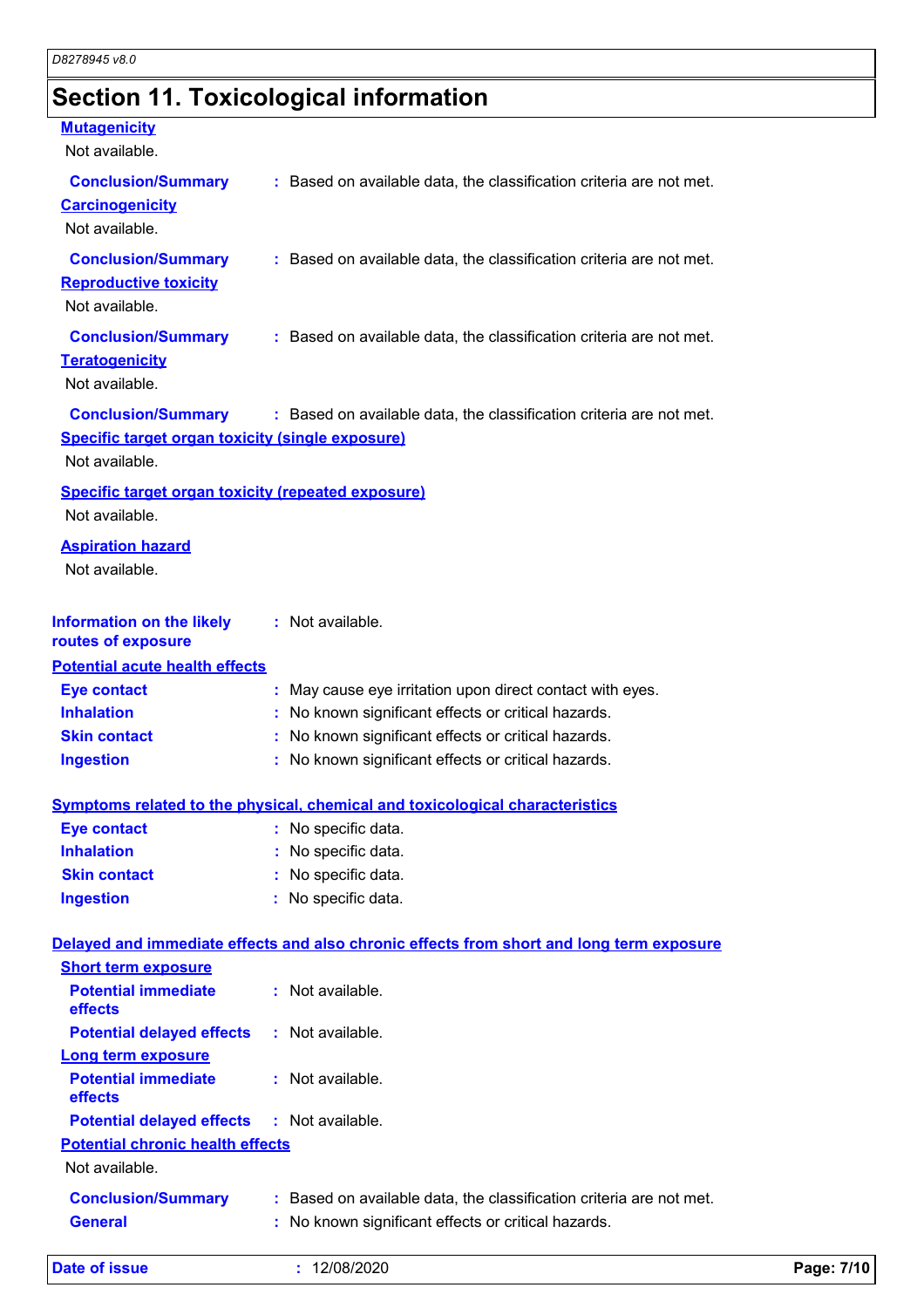## **Section 11. Toxicological information**

#### **Mutagenicity**

| Not available.                                                                                         |                                                                                          |
|--------------------------------------------------------------------------------------------------------|------------------------------------------------------------------------------------------|
| <b>Conclusion/Summary</b><br><b>Carcinogenicity</b><br>Not available.                                  | : Based on available data, the classification criteria are not met.                      |
| <b>Conclusion/Summary</b><br><b>Reproductive toxicity</b><br>Not available.                            | : Based on available data, the classification criteria are not met.                      |
| <b>Conclusion/Summary</b><br><b>Teratogenicity</b><br>Not available.                                   | : Based on available data, the classification criteria are not met.                      |
| <b>Conclusion/Summary</b><br><b>Specific target organ toxicity (single exposure)</b><br>Not available. | : Based on available data, the classification criteria are not met.                      |
| <b>Specific target organ toxicity (repeated exposure)</b><br>Not available.                            |                                                                                          |
| <b>Aspiration hazard</b><br>Not available.                                                             |                                                                                          |
| <b>Information on the likely</b><br>routes of exposure                                                 | : Not available.                                                                         |
| <b>Potential acute health effects</b>                                                                  |                                                                                          |
| <b>Eye contact</b>                                                                                     | : May cause eye irritation upon direct contact with eyes.                                |
| <b>Inhalation</b>                                                                                      | : No known significant effects or critical hazards.                                      |
| <b>Skin contact</b>                                                                                    | : No known significant effects or critical hazards.                                      |
| <b>Ingestion</b>                                                                                       | : No known significant effects or critical hazards.                                      |
|                                                                                                        | <b>Symptoms related to the physical, chemical and toxicological characteristics</b>      |
| <b>Eye contact</b>                                                                                     | : No specific data.                                                                      |
| <b>Inhalation</b>                                                                                      | No specific data.                                                                        |
| <b>Skin contact</b>                                                                                    | No specific data.                                                                        |
| <b>Ingestion</b>                                                                                       | : No specific data.                                                                      |
|                                                                                                        | Delayed and immediate effects and also chronic effects from short and long term exposure |
| <b>Short term exposure</b>                                                                             |                                                                                          |
| <b>Potential immediate</b><br>effects                                                                  | : Not available.                                                                         |
| <b>Potential delayed effects</b>                                                                       | : Not available.                                                                         |
| <b>Long term exposure</b>                                                                              |                                                                                          |
| <b>Potential immediate</b><br>effects                                                                  | : Not available.                                                                         |
| <b>Potential delayed effects</b>                                                                       | : Not available.                                                                         |
| <b>Potential chronic health effects</b><br>Not available.                                              |                                                                                          |
| <b>Conclusion/Summary</b>                                                                              | : Based on available data, the classification criteria are not met.                      |

**General :** No known significant effects or critical hazards.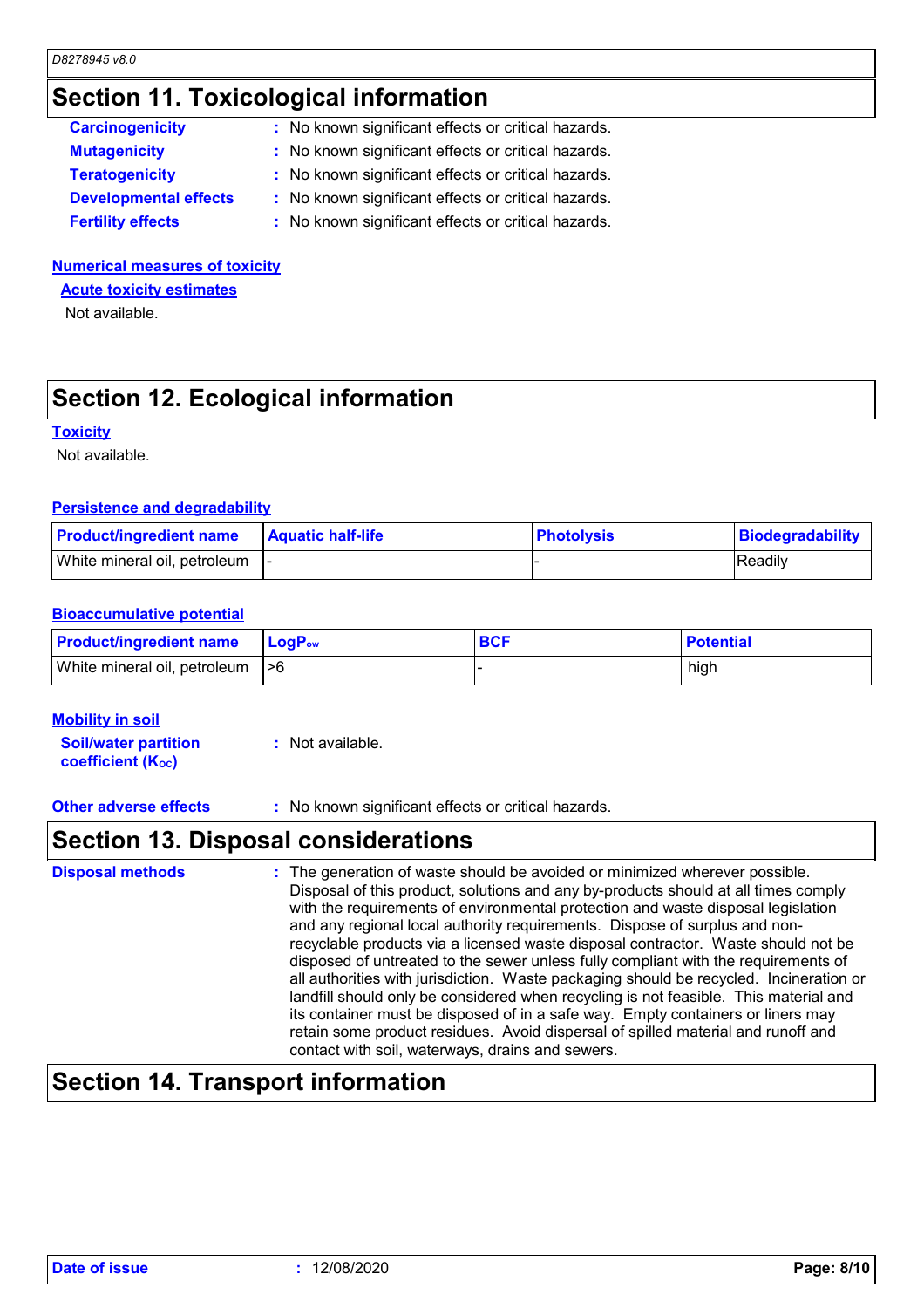## **Section 11. Toxicological information**

| <b>Carcinogenicity</b>       | : No known significant effects or critical hazards. |
|------------------------------|-----------------------------------------------------|
| <b>Mutagenicity</b>          | : No known significant effects or critical hazards. |
| <b>Teratogenicity</b>        | : No known significant effects or critical hazards. |
| <b>Developmental effects</b> | : No known significant effects or critical hazards. |
| <b>Fertility effects</b>     | : No known significant effects or critical hazards. |

#### **Numerical measures of toxicity**

**Acute toxicity estimates**

Not available.

## **Section 12. Ecological information**

#### **Toxicity**

Not available.

#### **Persistence and degradability**

| <b>Product/ingredient name</b>  | <b>Aquatic half-life</b> | <b>Photolysis</b> | Biodegradability |
|---------------------------------|--------------------------|-------------------|------------------|
| White mineral oil, petroleum  - |                          |                   | <b>IReadily</b>  |

#### **Bioaccumulative potential**

| <b>Product/ingredient name</b>   | <b>LogP</b> <sub>ow</sub> | <b>BCF</b> | <b>Potential</b> |
|----------------------------------|---------------------------|------------|------------------|
| White mineral oil, petroleum  >6 |                           |            | high             |

#### **Mobility in soil**

**Soil/water partition coefficient (Koc) :** Not available.

**Other adverse effects** : No known significant effects or critical hazards.

### **Section 13. Disposal considerations**

The generation of waste should be avoided or minimized wherever possible. Disposal of this product, solutions and any by-products should at all times comply with the requirements of environmental protection and waste disposal legislation and any regional local authority requirements. Dispose of surplus and nonrecyclable products via a licensed waste disposal contractor. Waste should not be disposed of untreated to the sewer unless fully compliant with the requirements of all authorities with jurisdiction. Waste packaging should be recycled. Incineration or landfill should only be considered when recycling is not feasible. This material and its container must be disposed of in a safe way. Empty containers or liners may retain some product residues. Avoid dispersal of spilled material and runoff and contact with soil, waterways, drains and sewers. **Disposal methods :**

### **Section 14. Transport information**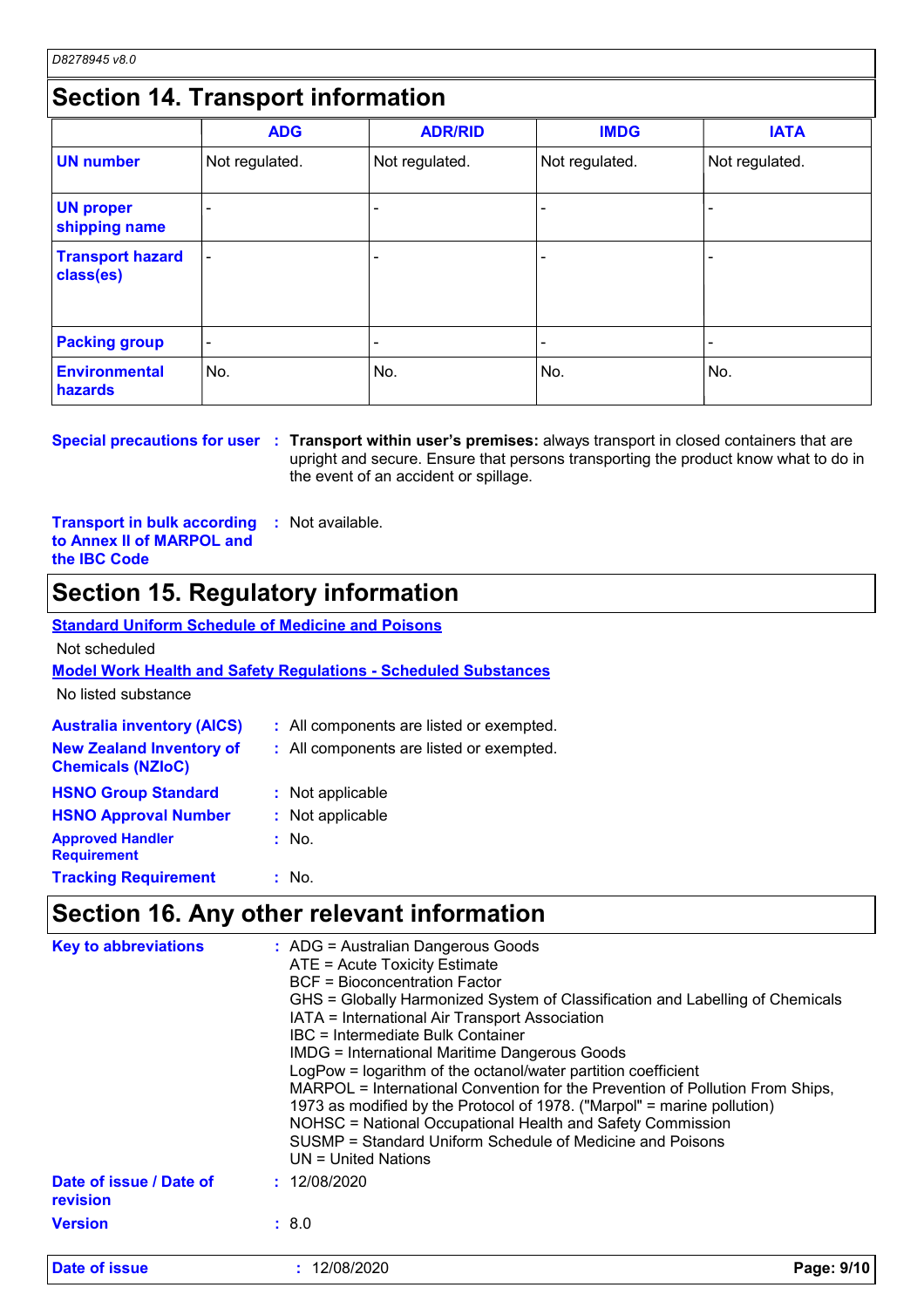## **Section 14. Transport information**

|                                      | <b>ADG</b>               | <b>ADR/RID</b> | <b>IMDG</b>              | <b>IATA</b>    |
|--------------------------------------|--------------------------|----------------|--------------------------|----------------|
| <b>UN number</b>                     | Not regulated.           | Not regulated. | Not regulated.           | Not regulated. |
| <b>UN proper</b><br>shipping name    |                          |                |                          |                |
| <b>Transport hazard</b><br>class(es) | $\overline{\phantom{0}}$ |                | $\overline{\phantom{0}}$ |                |
| <b>Packing group</b>                 | $\overline{\phantom{0}}$ |                |                          |                |
| <b>Environmental</b><br>hazards      | No.                      | No.            | No.                      | No.            |

**Special precautions for user** : Transport within user's premises: always transport in closed containers that are upright and secure. Ensure that persons transporting the product know what to do in the event of an accident or spillage.

**Transport in bulk according to Annex II of MARPOL and the IBC Code :** Not available.

### **Section 15. Regulatory information**

#### **Australia inventory (AICS) :** All components are listed or exempted. **Standard Uniform Schedule of Medicine and Poisons Model Work Health and Safety Regulations - Scheduled Substances** No listed substance Not scheduled **New Zealand Inventory of Chemicals (NZIoC) :** All components are listed or exempted. **HSNO Approval Number :** Not applicable **HSNO Group Standard :** Not applicable **Approved Handler Requirement :** No. **Tracking Requirement :** : No.

### **Section 16. Any other relevant information**

| <b>Key to abbreviations</b>         | $\therefore$ ADG = Australian Dangerous Goods<br>ATE = Acute Toxicity Estimate<br><b>BCF = Bioconcentration Factor</b><br>GHS = Globally Harmonized System of Classification and Labelling of Chemicals<br>IATA = International Air Transport Association<br>IBC = Intermediate Bulk Container<br><b>IMDG = International Maritime Dangerous Goods</b><br>LogPow = logarithm of the octanol/water partition coefficient<br>MARPOL = International Convention for the Prevention of Pollution From Ships,<br>1973 as modified by the Protocol of 1978. ("Marpol" = marine pollution)<br>NOHSC = National Occupational Health and Safety Commission<br>SUSMP = Standard Uniform Schedule of Medicine and Poisons<br>UN = United Nations |  |
|-------------------------------------|---------------------------------------------------------------------------------------------------------------------------------------------------------------------------------------------------------------------------------------------------------------------------------------------------------------------------------------------------------------------------------------------------------------------------------------------------------------------------------------------------------------------------------------------------------------------------------------------------------------------------------------------------------------------------------------------------------------------------------------|--|
| Date of issue / Date of<br>revision | : 12/08/2020                                                                                                                                                                                                                                                                                                                                                                                                                                                                                                                                                                                                                                                                                                                          |  |
| <b>Version</b>                      | : 8.0                                                                                                                                                                                                                                                                                                                                                                                                                                                                                                                                                                                                                                                                                                                                 |  |
| Date of issue                       | 12/08/2020<br>Page: 9/10                                                                                                                                                                                                                                                                                                                                                                                                                                                                                                                                                                                                                                                                                                              |  |